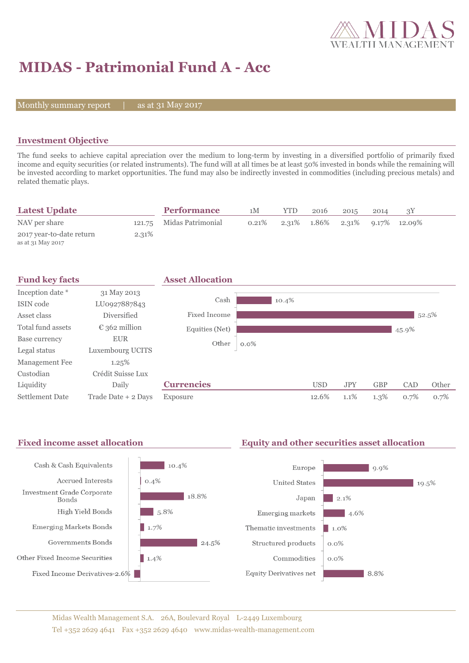

# **MIDAS - Patrimonial Fund A - Acc**

Monthly summary report  $\|$ 

as at 31 May 2017

## **Investment Objective**

The fund seeks to achieve capital apreciation over the medium to long-term by investing in a diversified portfolio of primarily fixed income and equity securities (or related instruments). The fund will at all times be at least 50% invested in bonds while the remaining will be invested according to market opportunities. The fund may also be indirectly invested in commodities (including precious metals) and related thematic plays.

| <b>Latest Update</b>                          |       | <b>Performance</b>       | 1M    | YTD | 2016 | 2015 | 2014 |                                               |  |
|-----------------------------------------------|-------|--------------------------|-------|-----|------|------|------|-----------------------------------------------|--|
| NAV per share                                 |       | 121.75 Midas Patrimonial | 0.21% |     |      |      |      | $2.31\%$ $1.86\%$ $2.31\%$ $9.17\%$ $12.09\%$ |  |
| 2017 year-to-date return<br>as at 31 May 2017 | 2.31% |                          |       |     |      |      |      |                                               |  |

| <b>Fund key facts</b> |                        | <b>Asset Allocation</b> |         |            |            |            |       |       |
|-----------------------|------------------------|-------------------------|---------|------------|------------|------------|-------|-------|
| Inception date *      | 31 May 2013            |                         |         |            |            |            |       |       |
| ISIN code             | LU0927887843           | Cash                    | 10.4%   |            |            |            |       |       |
| Asset class           | <b>Diversified</b>     | Fixed Income            |         |            |            |            |       | 52.5% |
| Total fund assets     | $\epsilon$ 362 million | Equities (Net)          |         |            |            |            | 45.9% |       |
| Base currency         | <b>EUR</b>             | Other                   | $0.0\%$ |            |            |            |       |       |
| Legal status          | Luxembourg UCITS       |                         |         |            |            |            |       |       |
| Management Fee        | 1.25%                  |                         |         |            |            |            |       |       |
| Custodian             | Crédit Suisse Lux      |                         |         |            |            |            |       |       |
| Liquidity             | Daily                  | <b>Currencies</b>       |         | <b>USD</b> | <b>JPY</b> | <b>GBP</b> | CAD   | Other |
| Settlement Date       | Trade Date + 2 Days    | Exposure                |         | 12.6%      | 1.1%       | $1.3\%$    | 0.7%  | 0.7%  |

### Fixed income asset allocation **Equity and other securities asset allocation**

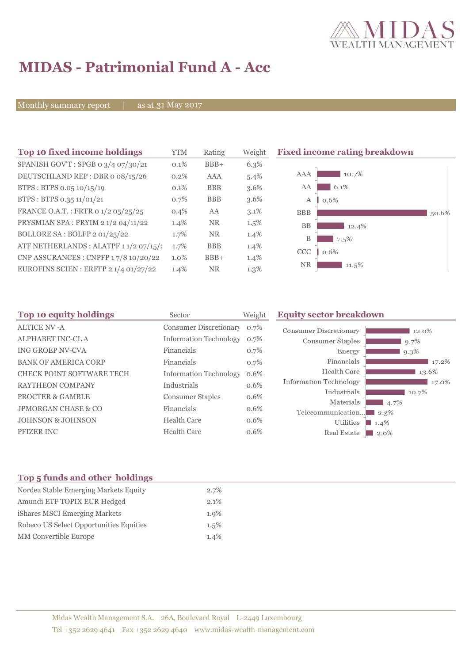

## **MIDAS - Patrimonial Fund A - Acc**

Monthly summary report | as at 31 May 2017

| Top 10 fixed income holdings           | <b>YTM</b> | Rating     | Weight  | <b>Fixed income rating breakdown</b> |
|----------------------------------------|------------|------------|---------|--------------------------------------|
| SPANISH GOV'T: SPGB 0 3/4 07/30/21     | $0.1\%$    | $BBB+$     | 6.3%    |                                      |
| DEUTSCHLAND REP: DBR o 08/15/26        | $0.2\%$    | AAA        | $5.4\%$ | 10.7%<br><b>AAA</b>                  |
| BTPS: BTPS 0.05 10/15/19               | 0.1%       | <b>BBB</b> | $3.6\%$ | AA<br>6.1%                           |
| BTPS: BTPS 0.35 11/01/21               | $0.7\%$    | <b>BBB</b> | $3.6\%$ | $\mathbf{A}$<br>0.6%                 |
| FRANCE O.A.T.: FRTR 0 1/2 05/25/25     | 0.4%       | AA         | $3.1\%$ | <b>BBB</b><br>50.6%                  |
| PRYSMIAN SPA: PRYIM 2 1/2 04/11/22     | $1.4\%$    | <b>NR</b>  | $1.5\%$ | <b>BB</b><br>12.4%                   |
| BOLLORE SA : BOLFP 2 01/25/22          | 1.7%       | <b>NR</b>  | $1.4\%$ | B<br>7.5%                            |
| ATF NETHERLANDS : ALATPF 1 1/2 07/15/: | 1.7%       | <b>BBB</b> | $1.4\%$ | <b>CCC</b><br>0.6%                   |
| CNP ASSURANCES : CNPFP 17/8 10/20/22   | $1.0\%$    | $BBB+$     | $1.4\%$ |                                      |
| EUROFINS SCIEN : ERFFP 2 1/4 01/27/22  | $1.4\%$    | <b>NR</b>  | $1.3\%$ | <b>NR</b><br>$11.5\%$                |

| Top 10 equity holdings                                                              | Sector                                          | Weight               | <b>Equity sector breakdown</b>                             |                                        |  |
|-------------------------------------------------------------------------------------|-------------------------------------------------|----------------------|------------------------------------------------------------|----------------------------------------|--|
| <b>ALTICE NV -A</b>                                                                 | <b>Consumer Discretionary</b>                   | 0.7%                 | <b>Consumer Discretionary</b>                              | 12.0%                                  |  |
| <b>ALPHABET INC-CLA</b>                                                             | <b>Information Technology</b>                   | 0.7%                 | Consumer Staples                                           | 9.7%                                   |  |
| <b>ING GROEP NV-CVA</b>                                                             | Financials                                      | 0.7%                 | Energy                                                     | $9.3\%$                                |  |
| <b>BANK OF AMERICA CORP</b>                                                         | Financials                                      | 0.7%                 | Financials                                                 | 17.2%                                  |  |
| <b>CHECK POINT SOFTWARE TECH</b>                                                    | <b>Information Technology</b>                   | 0.6%                 | Health Care                                                | 13.6%                                  |  |
| <b>RAYTHEON COMPANY</b>                                                             | Industrials                                     | 0.6%                 | Information Technology                                     | $17.0\%$                               |  |
| <b>PROCTER &amp; GAMBLE</b>                                                         | <b>Consumer Staples</b>                         | 0.6%                 | Industrials                                                | 10.7%                                  |  |
|                                                                                     |                                                 |                      |                                                            |                                        |  |
|                                                                                     |                                                 |                      |                                                            |                                        |  |
|                                                                                     |                                                 |                      |                                                            |                                        |  |
| <b>JPMORGAN CHASE &amp; CO</b><br><b>JOHNSON &amp; JOHNSON</b><br><b>PFIZER INC</b> | Financials<br>Health Care<br><b>Health Care</b> | 0.6%<br>0.6%<br>0.6% | Materials<br>Telecommunication<br>Utilities<br>Real Estate | 4.7%<br>$\Box$ 2.3%<br>$1.4\%$<br>2.0% |  |

## **Top 5 funds and other holdings**

| Nordea Stable Emerging Markets Equity   | $2.7\%$ |
|-----------------------------------------|---------|
| Amundi ETF TOPIX EUR Hedged             | $2.1\%$ |
| iShares MSCI Emerging Markets           | $1.9\%$ |
| Robeco US Select Opportunities Equities | $1.5\%$ |
| <b>MM</b> Convertible Europe            | 1.4%    |